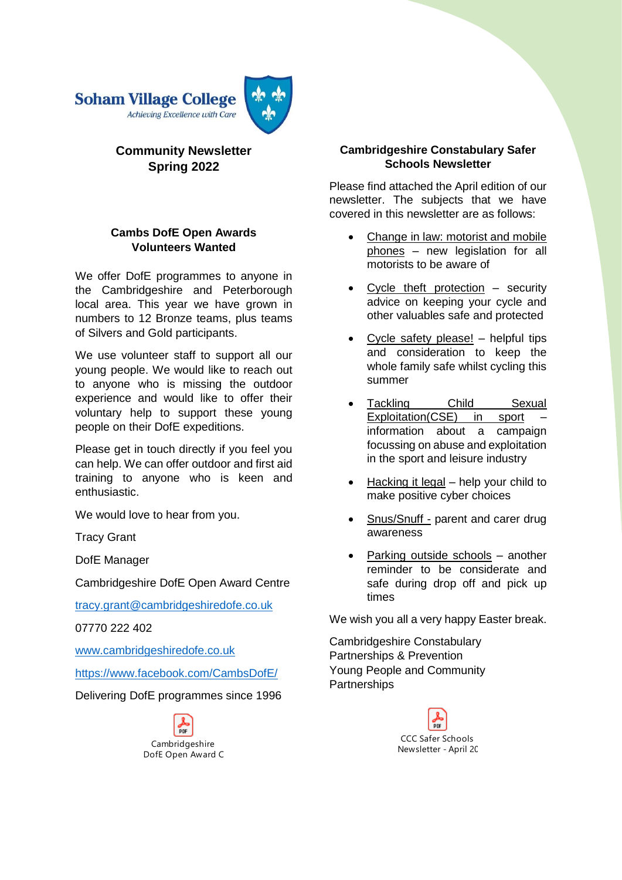

## **Community Newsletter Spring 2022**

## **Cambs DofE Open Awards Volunteers Wanted**

We offer DofE programmes to anyone in the Cambridgeshire and Peterborough local area. This year we have grown in numbers to 12 Bronze teams, plus teams of Silvers and Gold participants.

We use volunteer staff to support all our young people. We would like to reach out to anyone who is missing the outdoor experience and would like to offer their voluntary help to support these young people on their DofE expeditions.

Please get in touch directly if you feel you can help. We can offer outdoor and first aid training to anyone who is keen and enthusiastic.

We would love to hear from you.

Tracy Grant

DofE Manager

Cambridgeshire DofE Open Award Centre

[tracy.grant@cambridgeshiredofe.co.uk](mailto:tracy.grant@cambridgeshiredofe.co.uk)

07770 222 402

[www.cambridgeshiredofe.co.uk](http://www.cambridgeshiredofe.co.uk/)

<https://www.facebook.com/CambsDofE/>

Delivering DofE programmes since 1996



### **Cambridgeshire Constabulary Safer Schools Newsletter**

Please find attached the April edition of our newsletter. The subjects that we have covered in this newsletter are as follows:

- Change in law: motorist and mobile phones – new legislation for all motorists to be aware of
- Cycle theft protection  $-$  security advice on keeping your cycle and other valuables safe and protected
- Cycle safety please! helpful tips and consideration to keep the whole family safe whilst cycling this summer
- Tackling Child Sexual Exploitation(CSE) in sport information about a campaign focussing on abuse and exploitation in the sport and leisure industry
- Hacking it legal help your child to make positive cyber choices
- Snus/Snuff parent and carer drug awareness
- Parking outside schools another reminder to be considerate and safe during drop off and pick up times

We wish you all a very happy Easter break.

[Cambridgeshire Constabulary](https://www.cambs.police.uk/home) Partnerships & Prevention Young People and Community **Partnerships** 

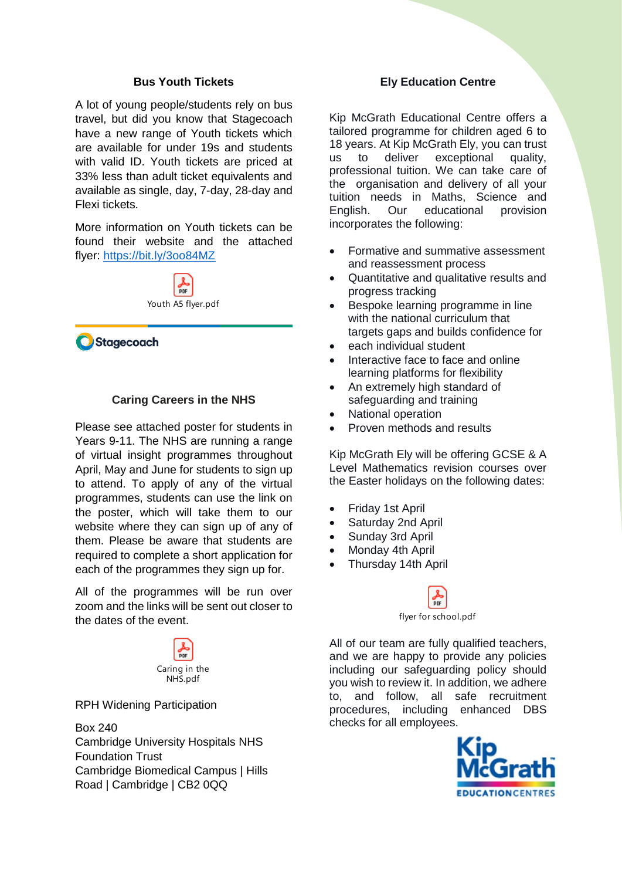#### **Bus Youth Tickets**

A lot of young people/students rely on bus travel, but did you know that Stagecoach have a new range of Youth tickets which are available for under 19s and students with valid ID. Youth tickets are priced at 33% less than adult ticket equivalents and available as single, day, 7-day, 28-day and Flexi tickets.

More information on Youth tickets can be found their website and the attached flyer: <https://bit.ly/3oo84MZ>



Stagecoach

#### **Caring Careers in the NHS**

Please see attached poster for students in Years 9-11. The NHS are running a range of virtual insight programmes throughout April, May and June for students to sign up to attend. To apply of any of the virtual programmes, students can use the link on the poster, which will take them to our website where they can sign up of any of them. Please be aware that students are required to complete a short application for each of the programmes they sign up for.

All of the programmes will be run over zoom and the links will be sent out closer to the dates of the event.



RPH Widening Participation

Box 240 Cambridge University Hospitals NHS Foundation Trust Cambridge Biomedical Campus | Hills Road | Cambridge | CB2 0QQ

#### **Ely Education Centre**

Kip McGrath Educational Centre offers a tailored programme for children aged 6 to 18 years. At Kip McGrath Ely, you can trust us to deliver exceptional quality, professional tuition. We can take care of the organisation and delivery of all your tuition needs in Maths, Science and English. Our educational provision incorporates the following:

- Formative and summative assessment and reassessment process
- Quantitative and qualitative results and progress tracking
- Bespoke learning programme in line with the national curriculum that targets gaps and builds confidence for
- each individual student
- Interactive face to face and online learning platforms for flexibility
- An extremely high standard of safeguarding and training
- National operation
- Proven methods and results

Kip McGrath Ely will be offering GCSE & A Level Mathematics revision courses over the Easter holidays on the following dates:

- Friday 1st April
- Saturday 2nd April
- Sunday 3rd April
- Monday 4th April
- Thursday 14th April

flyer for school.pdf

All of our team are fully qualified teachers, and we are happy to provide any policies including our safeguarding policy should you wish to review it. In addition, we adhere to, and follow, all safe recruitment procedures, including enhanced DBS checks for all employees.